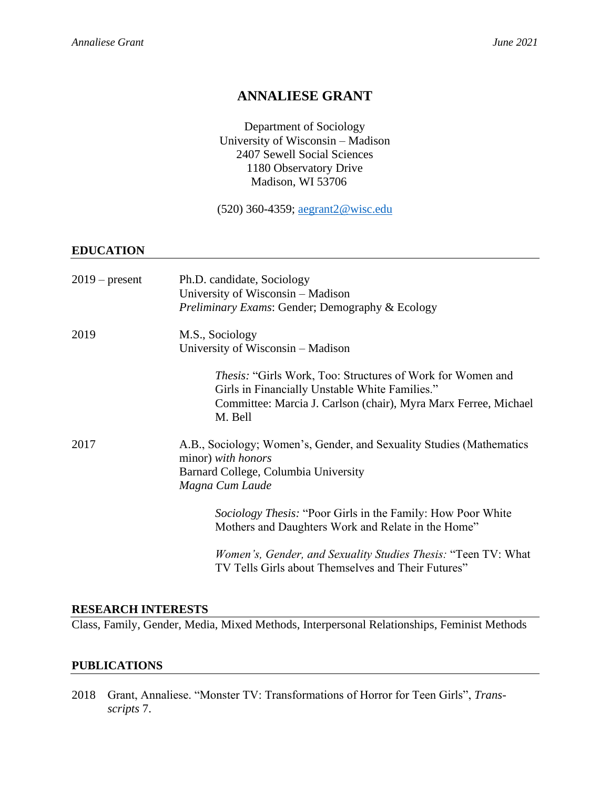# **ANNALIESE GRANT**

Department of Sociology University of Wisconsin – Madison 2407 Sewell Social Sciences 1180 Observatory Drive Madison, WI 53706

(520) 360-4359; [aegrant2@wisc.edu](mailto:aegrant2@wisc.edu)

## **EDUCATION**

| $2019$ – present | Ph.D. candidate, Sociology<br>University of Wisconsin – Madison<br><i>Preliminary Exams: Gender; Demography &amp; Ecology</i>                                                              |
|------------------|--------------------------------------------------------------------------------------------------------------------------------------------------------------------------------------------|
| 2019             | M.S., Sociology<br>University of Wisconsin – Madison                                                                                                                                       |
|                  | Thesis: "Girls Work, Too: Structures of Work for Women and<br>Girls in Financially Unstable White Families."<br>Committee: Marcia J. Carlson (chair), Myra Marx Ferree, Michael<br>M. Bell |
| 2017             | A.B., Sociology; Women's, Gender, and Sexuality Studies (Mathematics<br>minor) with honors<br>Barnard College, Columbia University<br>Magna Cum Laude                                      |
|                  | <i>Sociology Thesis:</i> "Poor Girls in the Family: How Poor White<br>Mothers and Daughters Work and Relate in the Home"                                                                   |
|                  | <i>Women's, Gender, and Sexuality Studies Thesis:</i> "Teen TV: What<br>TV Tells Girls about Themselves and Their Futures"                                                                 |

## **RESEARCH INTERESTS**

Class, Family, Gender, Media, Mixed Methods, Interpersonal Relationships, Feminist Methods

## **PUBLICATIONS**

2018 Grant, Annaliese. "Monster TV: Transformations of Horror for Teen Girls", *Transscripts* 7.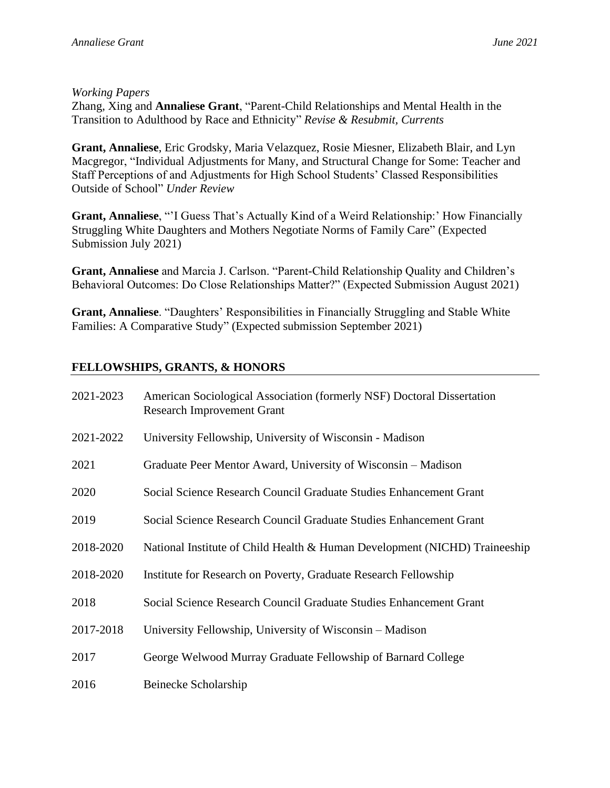# *Working Papers*

Zhang, Xing and **Annaliese Grant**, "Parent-Child Relationships and Mental Health in the Transition to Adulthood by Race and Ethnicity" *Revise & Resubmit, Currents*

**Grant, Annaliese**, Eric Grodsky, Maria Velazquez, Rosie Miesner, Elizabeth Blair, and Lyn Macgregor, "Individual Adjustments for Many, and Structural Change for Some: Teacher and Staff Perceptions of and Adjustments for High School Students' Classed Responsibilities Outside of School" *Under Review*

**Grant, Annaliese**, "'I Guess That's Actually Kind of a Weird Relationship:' How Financially Struggling White Daughters and Mothers Negotiate Norms of Family Care" (Expected Submission July 2021)

**Grant, Annaliese** and Marcia J. Carlson. "Parent-Child Relationship Quality and Children's Behavioral Outcomes: Do Close Relationships Matter?" (Expected Submission August 2021)

**Grant, Annaliese**. "Daughters' Responsibilities in Financially Struggling and Stable White Families: A Comparative Study" (Expected submission September 2021)

# **FELLOWSHIPS, GRANTS, & HONORS**

| American Sociological Association (formerly NSF) Doctoral Dissertation<br><b>Research Improvement Grant</b> |
|-------------------------------------------------------------------------------------------------------------|
| University Fellowship, University of Wisconsin - Madison                                                    |
| Graduate Peer Mentor Award, University of Wisconsin – Madison                                               |
| Social Science Research Council Graduate Studies Enhancement Grant                                          |
| Social Science Research Council Graduate Studies Enhancement Grant                                          |
| National Institute of Child Health & Human Development (NICHD) Traineeship                                  |
| Institute for Research on Poverty, Graduate Research Fellowship                                             |
| Social Science Research Council Graduate Studies Enhancement Grant                                          |
| University Fellowship, University of Wisconsin - Madison                                                    |
| George Welwood Murray Graduate Fellowship of Barnard College                                                |
| Beinecke Scholarship                                                                                        |
|                                                                                                             |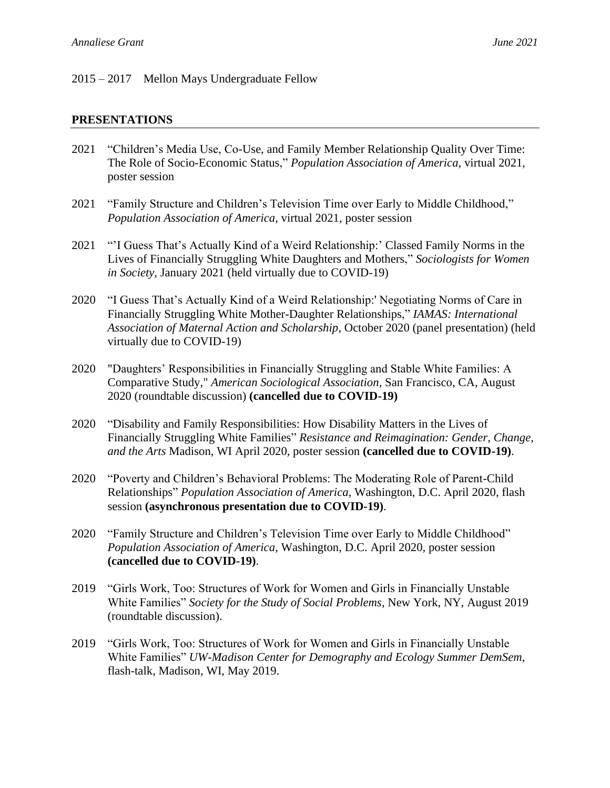## 2015 – 2017 Mellon Mays Undergraduate Fellow

### **PRESENTATIONS**

- 2021 "Children's Media Use, Co-Use, and Family Member Relationship Quality Over Time: The Role of Socio-Economic Status," *Population Association of America*, virtual 2021, poster session
- 2021 "Family Structure and Children's Television Time over Early to Middle Childhood," *Population Association of America*, virtual 2021, poster session
- 2021 "'I Guess That's Actually Kind of a Weird Relationship:' Classed Family Norms in the Lives of Financially Struggling White Daughters and Mothers," *Sociologists for Women in Society,* January 2021 (held virtually due to COVID-19)
- 2020 "I Guess That's Actually Kind of a Weird Relationship:' Negotiating Norms of Care in Financially Struggling White Mother-Daughter Relationships," *IAMAS: International Association of Maternal Action and Scholarship*, October 2020 (panel presentation) (held virtually due to COVID-19)
- 2020 "Daughters' Responsibilities in Financially Struggling and Stable White Families: A Comparative Study," *American Sociological Association*, San Francisco, CA, August 2020 (roundtable discussion) **(cancelled due to COVID-19)**
- 2020 "Disability and Family Responsibilities: How Disability Matters in the Lives of Financially Struggling White Families" *Resistance and Reimagination: Gender, Change, and the Arts* Madison, WI April 2020, poster session **(cancelled due to COVID-19)**.
- 2020 "Poverty and Children's Behavioral Problems: The Moderating Role of Parent-Child Relationships" *Population Association of America*, Washington, D.C. April 2020, flash session **(asynchronous presentation due to COVID-19)**.
- 2020 "Family Structure and Children's Television Time over Early to Middle Childhood" *Population Association of America*, Washington, D.C. April 2020, poster session **(cancelled due to COVID-19)**.
- 2019 "Girls Work, Too: Structures of Work for Women and Girls in Financially Unstable White Families" *Society for the Study of Social Problems*, New York, NY, August 2019 (roundtable discussion).
- 2019 "Girls Work, Too: Structures of Work for Women and Girls in Financially Unstable White Families" *UW-Madison Center for Demography and Ecology Summer DemSem*, flash-talk, Madison, WI, May 2019.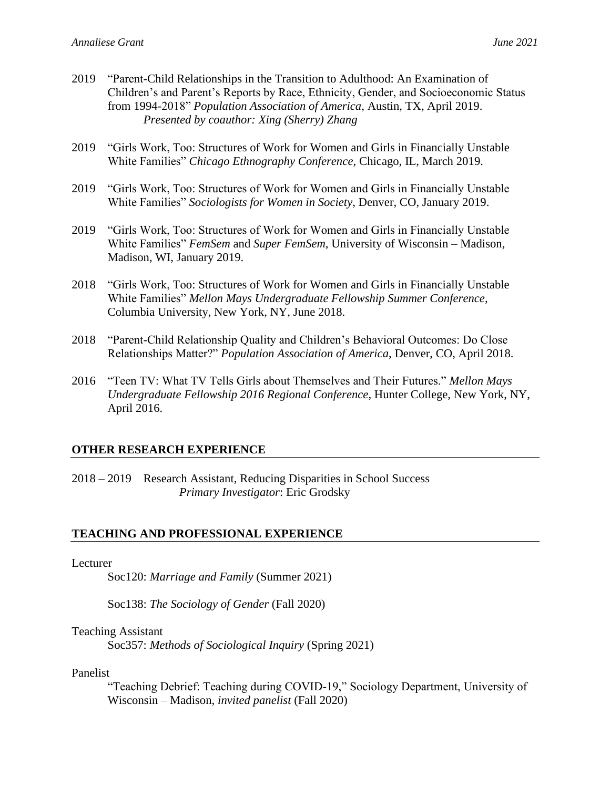- 2019 "Parent-Child Relationships in the Transition to Adulthood: An Examination of Children's and Parent's Reports by Race, Ethnicity, Gender, and Socioeconomic Status from 1994-2018" *Population Association of America*, Austin, TX, April 2019. *Presented by coauthor: Xing (Sherry) Zhang*
- 2019 "Girls Work, Too: Structures of Work for Women and Girls in Financially Unstable White Families" *Chicago Ethnography Conference*, Chicago, IL, March 2019.
- 2019 "Girls Work, Too: Structures of Work for Women and Girls in Financially Unstable White Families" *Sociologists for Women in Society*, Denver, CO, January 2019.
- 2019 "Girls Work, Too: Structures of Work for Women and Girls in Financially Unstable White Families" *FemSem* and *Super FemSem*, University of Wisconsin – Madison, Madison, WI, January 2019.
- 2018 "Girls Work, Too: Structures of Work for Women and Girls in Financially Unstable White Families" *Mellon Mays Undergraduate Fellowship Summer Conference*, Columbia University, New York, NY, June 2018.
- 2018 "Parent-Child Relationship Quality and Children's Behavioral Outcomes: Do Close Relationships Matter?" *Population Association of America*, Denver, CO, April 2018.
- 2016 "Teen TV: What TV Tells Girls about Themselves and Their Futures." *Mellon Mays Undergraduate Fellowship 2016 Regional Conference*, Hunter College, New York, NY, April 2016.

## **OTHER RESEARCH EXPERIENCE**

2018 – 2019 Research Assistant, Reducing Disparities in School Success *Primary Investigator*: Eric Grodsky

## **TEACHING AND PROFESSIONAL EXPERIENCE**

#### Lecturer

Soc120: *Marriage and Family* (Summer 2021)

Soc138: *The Sociology of Gender* (Fall 2020)

#### Teaching Assistant

Soc357: *Methods of Sociological Inquiry* (Spring 2021)

#### Panelist

"Teaching Debrief: Teaching during COVID-19," Sociology Department, University of Wisconsin – Madison, *invited panelist* (Fall 2020)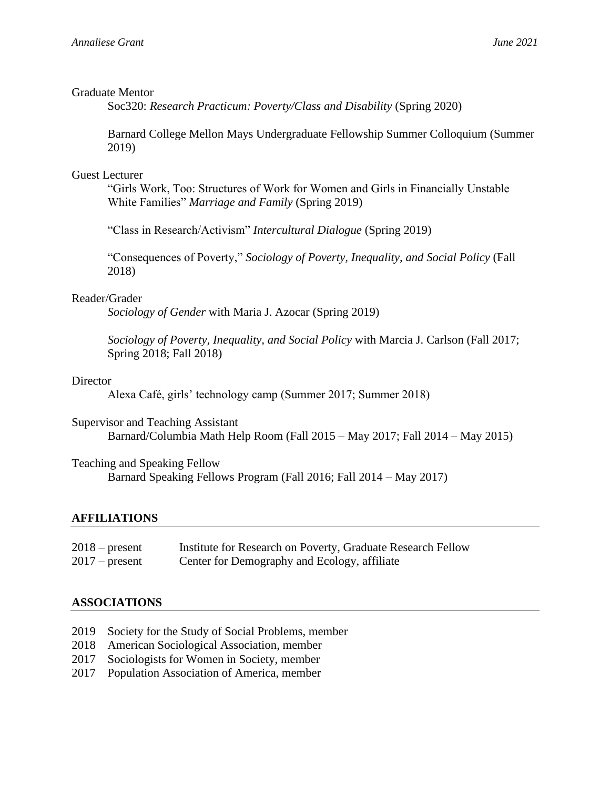### Graduate Mentor

Soc320: *Research Practicum: Poverty/Class and Disability* (Spring 2020)

Barnard College Mellon Mays Undergraduate Fellowship Summer Colloquium (Summer 2019)

## Guest Lecturer

"Girls Work, Too: Structures of Work for Women and Girls in Financially Unstable White Families" *Marriage and Family* (Spring 2019)

"Class in Research/Activism" *Intercultural Dialogue* (Spring 2019)

"Consequences of Poverty," *Sociology of Poverty, Inequality, and Social Policy* (Fall 2018)

### Reader/Grader

*Sociology of Gender* with Maria J. Azocar (Spring 2019)

*Sociology of Poverty, Inequality, and Social Policy* with Marcia J. Carlson (Fall 2017; Spring 2018; Fall 2018)

#### Director

Alexa Café, girls' technology camp (Summer 2017; Summer 2018)

Supervisor and Teaching Assistant

Barnard/Columbia Math Help Room (Fall 2015 – May 2017; Fall 2014 – May 2015)

#### Teaching and Speaking Fellow

Barnard Speaking Fellows Program (Fall 2016; Fall 2014 – May 2017)

## **AFFILIATIONS**

| $2018$ – present | Institute for Research on Poverty, Graduate Research Fellow |
|------------------|-------------------------------------------------------------|
| $2017$ – present | Center for Demography and Ecology, affiliate                |

## **ASSOCIATIONS**

- 2019 Society for the Study of Social Problems, member
- 2018 American Sociological Association, member
- 2017 Sociologists for Women in Society, member
- 2017 Population Association of America, member